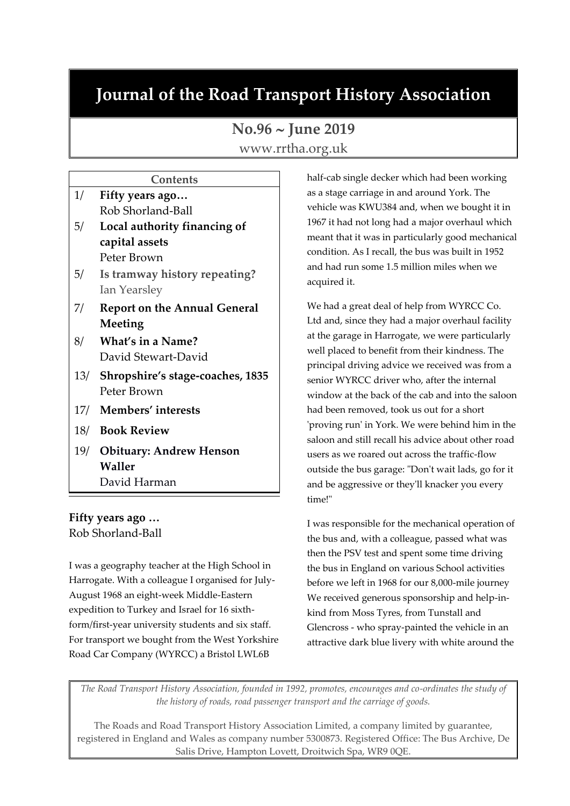# **Journal of the Road Transport History Association**

# **No.96 June 2019**

www.rrtha.org.uk

# **Contents**

| 1/  | Fifty years ago                     |
|-----|-------------------------------------|
|     | Rob Shorland-Ball                   |
| 5/  | Local authority financing of        |
|     | capital assets                      |
|     | Peter Brown                         |
| 5/  | Is tramway history repeating?       |
|     | Ian Yearsley                        |
| 7/  | <b>Report on the Annual General</b> |
|     | Meeting                             |
| 8/  | What's in a Name?                   |
|     | David Stewart-David                 |
| 13/ | Shropshire's stage-coaches, 1835    |
|     | Peter Brown                         |
| 17/ | Members' interests                  |

- 18/ **Book Review**
- 19/ **Obituary: Andrew Henson Waller**
	- David Harman

**Fifty years ago …** Rob Shorland-Ball

I was a geography teacher at the High School in Harrogate. With a colleague I organised for July-August 1968 an eight-week Middle-Eastern expedition to Turkey and Israel for 16 sixthform/first-year university students and six staff. For transport we bought from the West Yorkshire Road Car Company (WYRCC) a Bristol LWL6B

half-cab single decker which had been working as a stage carriage in and around York. The vehicle was KWU384 and, when we bought it in 1967 it had not long had a major overhaul which meant that it was in particularly good mechanical condition. As I recall, the bus was built in 1952 and had run some 1.5 million miles when we acquired it.

We had a great deal of help from WYRCC Co. Ltd and, since they had a major overhaul facility at the garage in Harrogate, we were particularly well placed to benefit from their kindness. The principal driving advice we received was from a senior WYRCC driver who, after the internal window at the back of the cab and into the saloon had been removed, took us out for a short 'proving run' in York. We were behind him in the saloon and still recall his advice about other road users as we roared out across the traffic-flow outside the bus garage: "Don't wait lads, go for it and be aggressive or they'll knacker you every time!"

I was responsible for the mechanical operation of the bus and, with a colleague, passed what was then the PSV test and spent some time driving the bus in England on various School activities before we left in 1968 for our 8,000-mile journey We received generous sponsorship and help-inkind from Moss Tyres, from Tunstall and Glencross - who spray-painted the vehicle in an attractive dark blue livery with white around the

*The Road Transport History Association, founded in 1992, promotes, encourages and co-ordinates the study of the history of roads, road passenger transport and the carriage of goods.*

The Roads and Road Transport History Association Limited, a company limited by guarantee, registered in England and Wales as company number 5300873. Registered Office: The Bus Archive, De Salis Drive, Hampton Lovett, Droitwich Spa, WR9 0QE.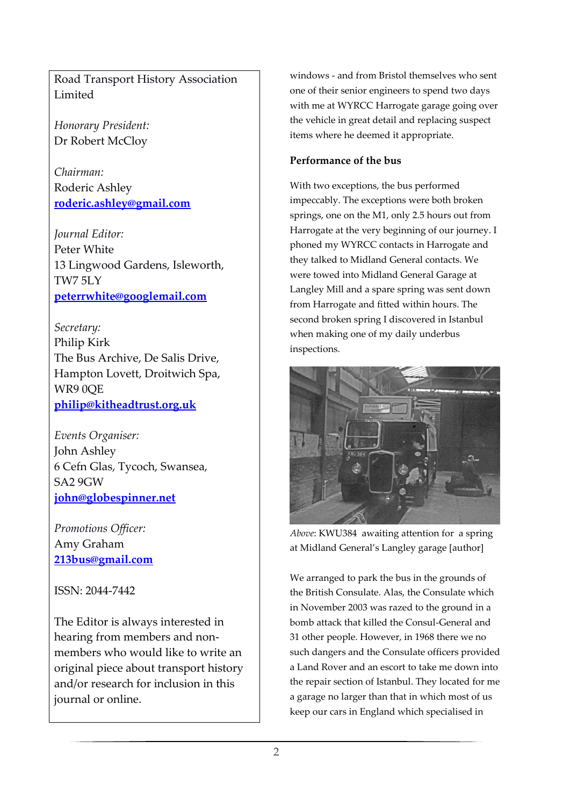Road Transport History Association Limited

*Honorary President:* Dr Robert McCloy

*Chairman:* Roderic Ashley **[roderic.ashley@gmail.com](mailto:roderic.ashley@gmail.com)**

*Journal Editor:* Peter White 13 Lingwood Gardens, Isleworth, TW7 5LY **[peterrwhite@googlemail.com](mailto:peterrwhite@googlemail.com)**

*Secretary:* Philip Kirk The Bus Archive, De Salis Drive, Hampton Lovett, Droitwich Spa, WR9 0QE **[philip@kitheadtrust.org.uk](mailto:philip@kitheadtrust.org.uk)**

*Events Organiser:* John Ashley 6 Cefn Glas, Tycoch, Swansea, SA2 9GW **[john@globespinner.net](mailto:john@globespinner.net)**

*Promotions Officer:* Amy Graham **[213bus@gmail.com](mailto:213bus@gmail.com)**

ISSN: 2044-7442

The Editor is always interested in hearing from members and nonmembers who would like to write an original piece about transport history and/or research for inclusion in this journal or online.

windows - and from Bristol themselves who sent one of their senior engineers to spend two days with me at WYRCC Harrogate garage going over the vehicle in great detail and replacing suspect items where he deemed it appropriate.

# **Performance of the bus**

With two exceptions, the bus performed impeccably. The exceptions were both broken springs, one on the M1, only 2.5 hours out from Harrogate at the very beginning of our journey. I phoned my WYRCC contacts in Harrogate and they talked to Midland General contacts. We were towed into Midland General Garage at Langley Mill and a spare spring was sent down from Harrogate and fitted within hours. The second broken spring I discovered in Istanbul when making one of my daily underbus inspections.



*Above*: KWU384 awaiting attention for a spring at Midland General's Langley garage [author]

We arranged to park the bus in the grounds of the British Consulate. Alas, the Consulate which in November 2003 was razed to the ground in a bomb attack that killed the Consul-General and 31 other people. However, in 1968 there we no such dangers and the Consulate officers provided a Land Rover and an escort to take me down into the repair section of Istanbul. They located for me a garage no larger than that in which most of us keep our cars in England which specialised in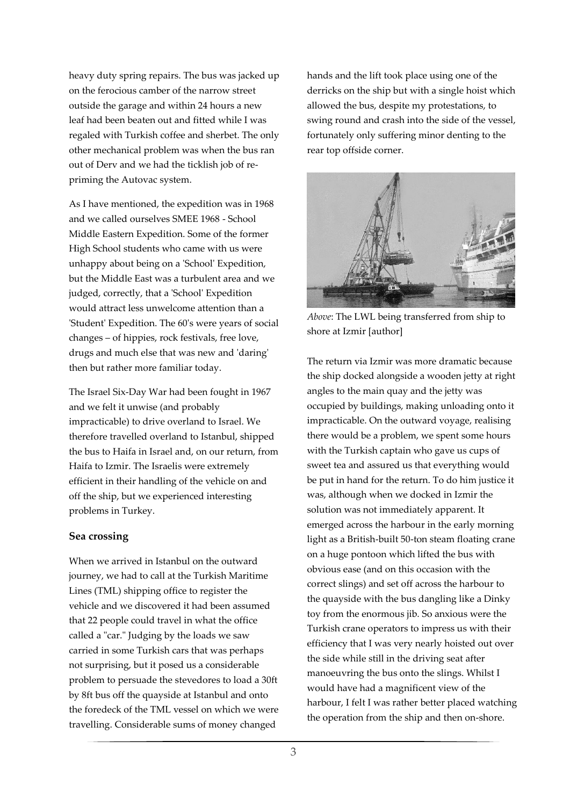heavy duty spring repairs. The bus was jacked up on the ferocious camber of the narrow street outside the garage and within 24 hours a new leaf had been beaten out and fitted while I was regaled with Turkish coffee and sherbet. The only other mechanical problem was when the bus ran out of Derv and we had the ticklish job of repriming the Autovac system.

As I have mentioned, the expedition was in 1968 and we called ourselves SMEE 1968 - School Middle Eastern Expedition. Some of the former High School students who came with us were unhappy about being on a 'School' Expedition, but the Middle East was a turbulent area and we judged, correctly, that a 'School' Expedition would attract less unwelcome attention than a 'Student' Expedition. The 60's were years of social changes – of hippies, rock festivals, free love, drugs and much else that was new and 'daring' then but rather more familiar today.

The Israel Six-Day War had been fought in 1967 and we felt it unwise (and probably impracticable) to drive overland to Israel. We therefore travelled overland to Istanbul, shipped the bus to Haifa in Israel and, on our return, from Haifa to Izmir. The Israelis were extremely efficient in their handling of the vehicle on and off the ship, but we experienced interesting problems in Turkey.

#### **Sea crossing**

When we arrived in Istanbul on the outward journey, we had to call at the Turkish Maritime Lines (TML) shipping office to register the vehicle and we discovered it had been assumed that 22 people could travel in what the office called a "car." Judging by the loads we saw carried in some Turkish cars that was perhaps not surprising, but it posed us a considerable problem to persuade the stevedores to load a 30ft by 8ft bus off the quayside at Istanbul and onto the foredeck of the TML vessel on which we were travelling. Considerable sums of money changed

hands and the lift took place using one of the derricks on the ship but with a single hoist which allowed the bus, despite my protestations, to swing round and crash into the side of the vessel, fortunately only suffering minor denting to the rear top offside corner.



*Above*: The LWL being transferred from ship to shore at Izmir [author]

The return via Izmir was more dramatic because the ship docked alongside a wooden jetty at right angles to the main quay and the jetty was occupied by buildings, making unloading onto it impracticable. On the outward voyage, realising there would be a problem, we spent some hours with the Turkish captain who gave us cups of sweet tea and assured us that everything would be put in hand for the return. To do him justice it was, although when we docked in Izmir the solution was not immediately apparent. It emerged across the harbour in the early morning light as a British-built 50-ton steam floating crane on a huge pontoon which lifted the bus with obvious ease (and on this occasion with the correct slings) and set off across the harbour to the quayside with the bus dangling like a Dinky toy from the enormous jib. So anxious were the Turkish crane operators to impress us with their efficiency that I was very nearly hoisted out over the side while still in the driving seat after manoeuvring the bus onto the slings. Whilst I would have had a magnificent view of the harbour, I felt I was rather better placed watching the operation from the ship and then on-shore.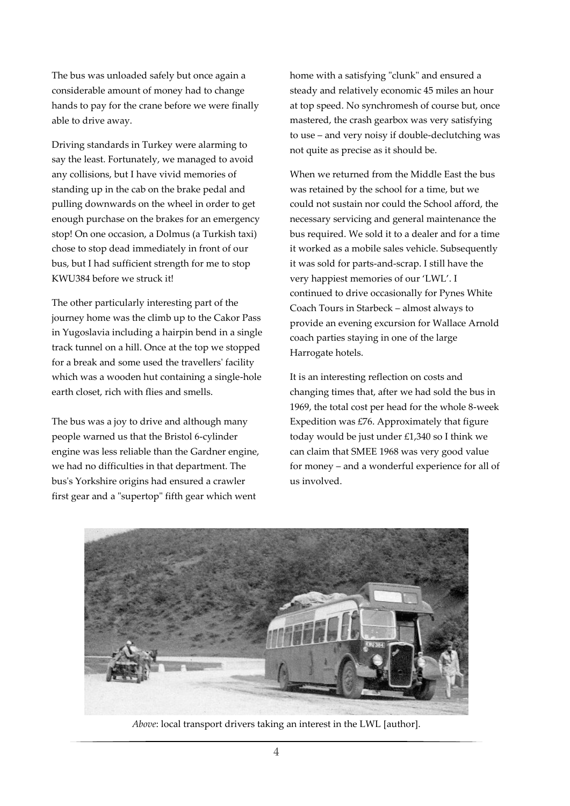The bus was unloaded safely but once again a considerable amount of money had to change hands to pay for the crane before we were finally able to drive away.

Driving standards in Turkey were alarming to say the least. Fortunately, we managed to avoid any collisions, but I have vivid memories of standing up in the cab on the brake pedal and pulling downwards on the wheel in order to get enough purchase on the brakes for an emergency stop! On one occasion, a Dolmus (a Turkish taxi) chose to stop dead immediately in front of our bus, but I had sufficient strength for me to stop KWU384 before we struck it!

The other particularly interesting part of the journey home was the climb up to the Cakor Pass in Yugoslavia including a hairpin bend in a single track tunnel on a hill. Once at the top we stopped for a break and some used the travellers' facility which was a wooden hut containing a single-hole earth closet, rich with flies and smells.

The bus was a joy to drive and although many people warned us that the Bristol 6-cylinder engine was less reliable than the Gardner engine, we had no difficulties in that department. The bus's Yorkshire origins had ensured a crawler first gear and a "supertop" fifth gear which went

home with a satisfying "clunk" and ensured a steady and relatively economic 45 miles an hour at top speed. No synchromesh of course but, once mastered, the crash gearbox was very satisfying to use – and very noisy if double-declutching was not quite as precise as it should be.

When we returned from the Middle East the bus was retained by the school for a time, but we could not sustain nor could the School afford, the necessary servicing and general maintenance the bus required. We sold it to a dealer and for a time it worked as a mobile sales vehicle. Subsequently it was sold for parts-and-scrap. I still have the very happiest memories of our 'LWL'. I continued to drive occasionally for Pynes White Coach Tours in Starbeck – almost always to provide an evening excursion for Wallace Arnold coach parties staying in one of the large Harrogate hotels.

It is an interesting reflection on costs and changing times that, after we had sold the bus in 1969, the total cost per head for the whole 8-week Expedition was  $E$ 76. Approximately that figure today would be just under £1,340 so I think we can claim that SMEE 1968 was very good value for money – and a wonderful experience for all of us involved.



*Above*: local transport drivers taking an interest in the LWL [author].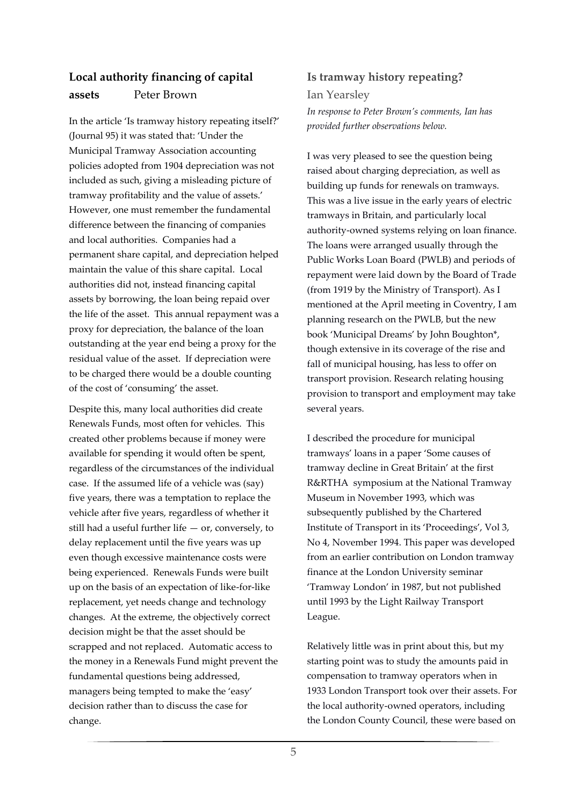# **Local authority financing of capital assets** Peter Brown

In the article 'Is tramway history repeating itself?' (Journal 95) it was stated that: 'Under the Municipal Tramway Association accounting policies adopted from 1904 depreciation was not included as such, giving a misleading picture of tramway profitability and the value of assets.' However, one must remember the fundamental difference between the financing of companies and local authorities. Companies had a permanent share capital, and depreciation helped maintain the value of this share capital. Local authorities did not, instead financing capital assets by borrowing, the loan being repaid over the life of the asset. This annual repayment was a proxy for depreciation, the balance of the loan outstanding at the year end being a proxy for the residual value of the asset. If depreciation were to be charged there would be a double counting of the cost of 'consuming' the asset.

Despite this, many local authorities did create Renewals Funds, most often for vehicles. This created other problems because if money were available for spending it would often be spent, regardless of the circumstances of the individual case. If the assumed life of a vehicle was (say) five years, there was a temptation to replace the vehicle after five years, regardless of whether it still had a useful further life  $-$  or, conversely, to delay replacement until the five years was up even though excessive maintenance costs were being experienced. Renewals Funds were built up on the basis of an expectation of like-for-like replacement, yet needs change and technology changes. At the extreme, the objectively correct decision might be that the asset should be scrapped and not replaced. Automatic access to the money in a Renewals Fund might prevent the fundamental questions being addressed, managers being tempted to make the 'easy' decision rather than to discuss the case for change.

# **Is tramway history repeating?**

Ian Yearsley *In response to Peter Brown's comments, Ian has provided further observations below.*

I was very pleased to see the question being raised about charging depreciation, as well as building up funds for renewals on tramways. This was a live issue in the early years of electric tramways in Britain, and particularly local authority-owned systems relying on loan finance. The loans were arranged usually through the Public Works Loan Board (PWLB) and periods of repayment were laid down by the Board of Trade (from 1919 by the Ministry of Transport). As I mentioned at the April meeting in Coventry, I am planning research on the PWLB, but the new book 'Municipal Dreams' by John Boughton\*, though extensive in its coverage of the rise and fall of municipal housing, has less to offer on transport provision. Research relating housing provision to transport and employment may take several years.

I described the procedure for municipal tramways' loans in a paper 'Some causes of tramway decline in Great Britain' at the first R&RTHA symposium at the National Tramway Museum in November 1993, which was subsequently published by the Chartered Institute of Transport in its 'Proceedings', Vol 3, No 4, November 1994. This paper was developed from an earlier contribution on London tramway finance at the London University seminar 'Tramway London' in 1987, but not published until 1993 by the Light Railway Transport League.

Relatively little was in print about this, but my starting point was to study the amounts paid in compensation to tramway operators when in 1933 London Transport took over their assets. For the local authority-owned operators, including the London County Council, these were based on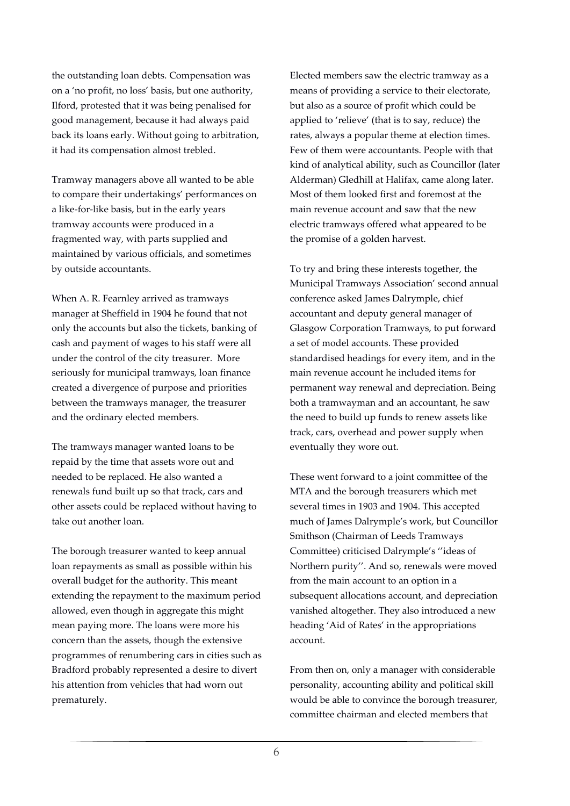the outstanding loan debts. Compensation was on a 'no profit, no loss' basis, but one authority, Ilford, protested that it was being penalised for good management, because it had always paid back its loans early. Without going to arbitration, it had its compensation almost trebled.

Tramway managers above all wanted to be able to compare their undertakings' performances on a like-for-like basis, but in the early years tramway accounts were produced in a fragmented way, with parts supplied and maintained by various officials, and sometimes by outside accountants.

When A. R. Fearnley arrived as tramways manager at Sheffield in 1904 he found that not only the accounts but also the tickets, banking of cash and payment of wages to his staff were all under the control of the city treasurer. More seriously for municipal tramways, loan finance created a divergence of purpose and priorities between the tramways manager, the treasurer and the ordinary elected members.

The tramways manager wanted loans to be repaid by the time that assets wore out and needed to be replaced. He also wanted a renewals fund built up so that track, cars and other assets could be replaced without having to take out another loan.

The borough treasurer wanted to keep annual loan repayments as small as possible within his overall budget for the authority. This meant extending the repayment to the maximum period allowed, even though in aggregate this might mean paying more. The loans were more his concern than the assets, though the extensive programmes of renumbering cars in cities such as Bradford probably represented a desire to divert his attention from vehicles that had worn out prematurely.

Elected members saw the electric tramway as a means of providing a service to their electorate, but also as a source of profit which could be applied to 'relieve' (that is to say, reduce) the rates, always a popular theme at election times. Few of them were accountants. People with that kind of analytical ability, such as Councillor (later Alderman) Gledhill at Halifax, came along later. Most of them looked first and foremost at the main revenue account and saw that the new electric tramways offered what appeared to be the promise of a golden harvest.

To try and bring these interests together, the Municipal Tramways Association' second annual conference asked James Dalrymple, chief accountant and deputy general manager of Glasgow Corporation Tramways, to put forward a set of model accounts. These provided standardised headings for every item, and in the main revenue account he included items for permanent way renewal and depreciation. Being both a tramwayman and an accountant, he saw the need to build up funds to renew assets like track, cars, overhead and power supply when eventually they wore out.

These went forward to a joint committee of the MTA and the borough treasurers which met several times in 1903 and 1904. This accepted much of James Dalrymple's work, but Councillor Smithson (Chairman of Leeds Tramways Committee) criticised Dalrymple's ''ideas of Northern purity''. And so, renewals were moved from the main account to an option in a subsequent allocations account, and depreciation vanished altogether. They also introduced a new heading 'Aid of Rates' in the appropriations account.

From then on, only a manager with considerable personality, accounting ability and political skill would be able to convince the borough treasurer, committee chairman and elected members that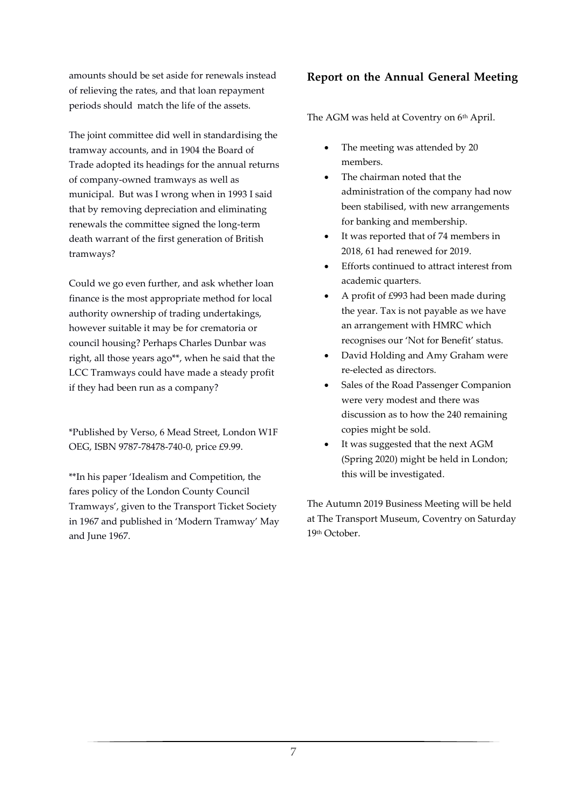amounts should be set aside for renewals instead of relieving the rates, and that loan repayment periods should match the life of the assets.

The joint committee did well in standardising the tramway accounts, and in 1904 the Board of Trade adopted its headings for the annual returns of company-owned tramways as well as municipal. But was I wrong when in 1993 I said that by removing depreciation and eliminating renewals the committee signed the long-term death warrant of the first generation of British tramways?

Could we go even further, and ask whether loan finance is the most appropriate method for local authority ownership of trading undertakings, however suitable it may be for crematoria or council housing? Perhaps Charles Dunbar was right, all those years ago\*\*, when he said that the LCC Tramways could have made a steady profit if they had been run as a company?

\*Published by Verso, 6 Mead Street, London W1F OEG, ISBN 9787-78478-740-0, price £9.99.

\*\*In his paper 'Idealism and Competition, the fares policy of the London County Council Tramways', given to the Transport Ticket Society in 1967 and published in 'Modern Tramway' May and June 1967.

# **Report on the Annual General Meeting**

The AGM was held at Coventry on 6<sup>th</sup> April.

- The meeting was attended by 20 members.
- The chairman noted that the administration of the company had now been stabilised, with new arrangements for banking and membership.
- It was reported that of 74 members in 2018, 61 had renewed for 2019.
- Efforts continued to attract interest from academic quarters.
- A profit of £993 had been made during the year. Tax is not payable as we have an arrangement with HMRC which recognises our 'Not for Benefit' status.
- David Holding and Amy Graham were re-elected as directors.
- Sales of the Road Passenger Companion were very modest and there was discussion as to how the 240 remaining copies might be sold.
- It was suggested that the next AGM (Spring 2020) might be held in London; this will be investigated.

The Autumn 2019 Business Meeting will be held at The Transport Museum, Coventry on Saturday 19th October.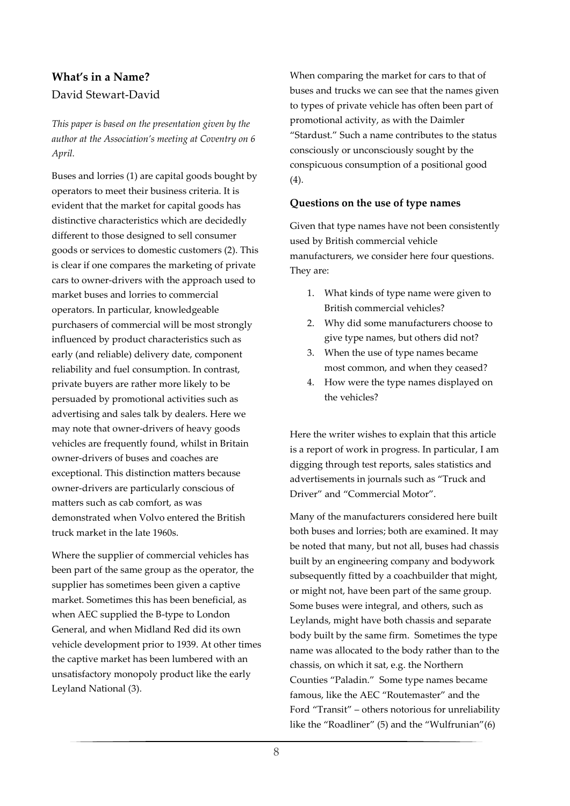# **What's in a Name?**  David Stewart-David

*This paper is based on the presentation given by the author at the Association's meeting at Coventry on 6 April.*

Buses and lorries (1) are capital goods bought by operators to meet their business criteria. It is evident that the market for capital goods has distinctive characteristics which are decidedly different to those designed to sell consumer goods or services to domestic customers (2). This is clear if one compares the marketing of private cars to owner-drivers with the approach used to market buses and lorries to commercial operators. In particular, knowledgeable purchasers of commercial will be most strongly influenced by product characteristics such as early (and reliable) delivery date, component reliability and fuel consumption. In contrast, private buyers are rather more likely to be persuaded by promotional activities such as advertising and sales talk by dealers. Here we may note that owner-drivers of heavy goods vehicles are frequently found, whilst in Britain owner-drivers of buses and coaches are exceptional. This distinction matters because owner-drivers are particularly conscious of matters such as cab comfort, as was demonstrated when Volvo entered the British truck market in the late 1960s.

Where the supplier of commercial vehicles has been part of the same group as the operator, the supplier has sometimes been given a captive market. Sometimes this has been beneficial, as when AEC supplied the B-type to London General, and when Midland Red did its own vehicle development prior to 1939. At other times the captive market has been lumbered with an unsatisfactory monopoly product like the early Leyland National (3).

When comparing the market for cars to that of buses and trucks we can see that the names given to types of private vehicle has often been part of promotional activity, as with the Daimler "Stardust." Such a name contributes to the status consciously or unconsciously sought by the conspicuous consumption of a positional good (4).

#### **Questions on the use of type names**

Given that type names have not been consistently used by British commercial vehicle manufacturers, we consider here four questions. They are:

- 1. What kinds of type name were given to British commercial vehicles?
- 2. Why did some manufacturers choose to give type names, but others did not?
- 3. When the use of type names became most common, and when they ceased?
- 4. How were the type names displayed on the vehicles?

Here the writer wishes to explain that this article is a report of work in progress. In particular, I am digging through test reports, sales statistics and advertisements in journals such as "Truck and Driver" and "Commercial Motor".

Many of the manufacturers considered here built both buses and lorries; both are examined. It may be noted that many, but not all, buses had chassis built by an engineering company and bodywork subsequently fitted by a coachbuilder that might, or might not, have been part of the same group. Some buses were integral, and others, such as Leylands, might have both chassis and separate body built by the same firm. Sometimes the type name was allocated to the body rather than to the chassis, on which it sat, e.g. the Northern Counties "Paladin." Some type names became famous, like the AEC "Routemaster" and the Ford "Transit" – others notorious for unreliability like the "Roadliner" (5) and the "Wulfrunian"(6)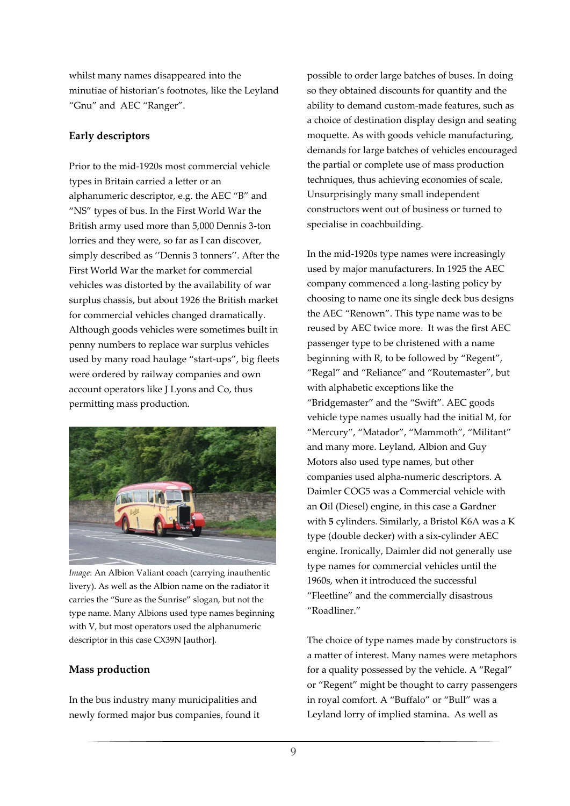whilst many names disappeared into the minutiae of historian's footnotes, like the Leyland "Gnu" and AEC "Ranger".

#### **Early descriptors**

Prior to the mid-1920s most commercial vehicle types in Britain carried a letter or an alphanumeric descriptor, e.g. the AEC "B" and "NS" types of bus. In the First World War the British army used more than 5,000 Dennis 3-ton lorries and they were, so far as I can discover, simply described as ''Dennis 3 tonners''. After the First World War the market for commercial vehicles was distorted by the availability of war surplus chassis, but about 1926 the British market for commercial vehicles changed dramatically. Although goods vehicles were sometimes built in penny numbers to replace war surplus vehicles used by many road haulage "start-ups", big fleets were ordered by railway companies and own account operators like J Lyons and Co, thus permitting mass production.



*Image*: An Albion Valiant coach (carrying inauthentic livery). As well as the Albion name on the radiator it carries the "Sure as the Sunrise" slogan, but not the type name. Many Albions used type names beginning with V, but most operators used the alphanumeric descriptor in this case CX39N [author].

# **Mass production**

In the bus industry many municipalities and newly formed major bus companies, found it possible to order large batches of buses. In doing so they obtained discounts for quantity and the ability to demand custom-made features, such as a choice of destination display design and seating moquette. As with goods vehicle manufacturing, demands for large batches of vehicles encouraged the partial or complete use of mass production techniques, thus achieving economies of scale. Unsurprisingly many small independent constructors went out of business or turned to specialise in coachbuilding.

In the mid-1920s type names were increasingly used by major manufacturers. In 1925 the AEC company commenced a long-lasting policy by choosing to name one its single deck bus designs the AEC "Renown". This type name was to be reused by AEC twice more. It was the first AEC passenger type to be christened with a name beginning with R, to be followed by "Regent", "Regal" and "Reliance" and "Routemaster", but with alphabetic exceptions like the "Bridgemaster" and the "Swift". AEC goods vehicle type names usually had the initial M, for "Mercury", "Matador", "Mammoth", "Militant" and many more. Leyland, Albion and Guy Motors also used type names, but other companies used alpha-numeric descriptors. A Daimler COG5 was a **C**ommercial vehicle with an **O**il (Diesel) engine, in this case a **G**ardner with **5** cylinders. Similarly, a Bristol K6A was a K type (double decker) with a six-cylinder AEC engine. Ironically, Daimler did not generally use type names for commercial vehicles until the 1960s, when it introduced the successful "Fleetline" and the commercially disastrous "Roadliner."

The choice of type names made by constructors is a matter of interest. Many names were metaphors for a quality possessed by the vehicle. A "Regal" or "Regent" might be thought to carry passengers in royal comfort. A "Buffalo" or "Bull" was a Leyland lorry of implied stamina. As well as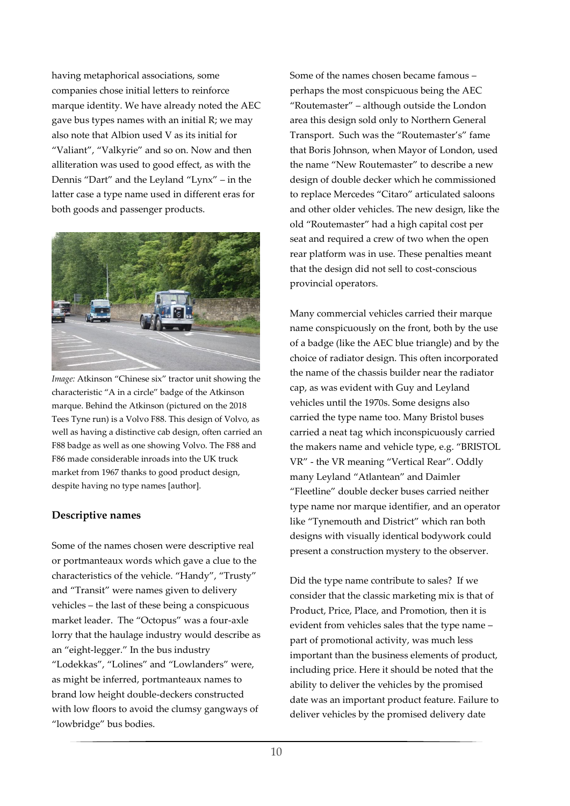having metaphorical associations, some companies chose initial letters to reinforce marque identity. We have already noted the AEC gave bus types names with an initial R; we may also note that Albion used V as its initial for "Valiant", "Valkyrie" and so on. Now and then alliteration was used to good effect, as with the Dennis "Dart" and the Leyland "Lynx" – in the latter case a type name used in different eras for both goods and passenger products.



*Image:* Atkinson "Chinese six" tractor unit showing the characteristic "A in a circle" badge of the Atkinson marque. Behind the Atkinson (pictured on the 2018 Tees Tyne run) is a Volvo F88. This design of Volvo, as well as having a distinctive cab design, often carried an F88 badge as well as one showing Volvo. The F88 and F86 made considerable inroads into the UK truck market from 1967 thanks to good product design, despite having no type names [author].

# **Descriptive names**

Some of the names chosen were descriptive real or portmanteaux words which gave a clue to the characteristics of the vehicle. "Handy", "Trusty" and "Transit" were names given to delivery vehicles – the last of these being a conspicuous market leader. The "Octopus" was a four-axle lorry that the haulage industry would describe as an "eight-legger." In the bus industry "Lodekkas", "Lolines" and "Lowlanders" were, as might be inferred, portmanteaux names to brand low height double-deckers constructed with low floors to avoid the clumsy gangways of "lowbridge" bus bodies.

Some of the names chosen became famous – perhaps the most conspicuous being the AEC "Routemaster" – although outside the London area this design sold only to Northern General Transport. Such was the "Routemaster's" fame that Boris Johnson, when Mayor of London, used the name "New Routemaster" to describe a new design of double decker which he commissioned to replace Mercedes "Citaro" articulated saloons and other older vehicles. The new design, like the old "Routemaster" had a high capital cost per seat and required a crew of two when the open rear platform was in use. These penalties meant that the design did not sell to cost-conscious provincial operators.

Many commercial vehicles carried their marque name conspicuously on the front, both by the use of a badge (like the AEC blue triangle) and by the choice of radiator design. This often incorporated the name of the chassis builder near the radiator cap, as was evident with Guy and Leyland vehicles until the 1970s. Some designs also carried the type name too. Many Bristol buses carried a neat tag which inconspicuously carried the makers name and vehicle type, e.g. "BRISTOL VR" - the VR meaning "Vertical Rear". Oddly many Leyland "Atlantean" and Daimler "Fleetline" double decker buses carried neither type name nor marque identifier, and an operator like "Tynemouth and District" which ran both designs with visually identical bodywork could present a construction mystery to the observer.

Did the type name contribute to sales? If we consider that the classic marketing mix is that of Product, Price, Place, and Promotion, then it is evident from vehicles sales that the type name – part of promotional activity, was much less important than the business elements of product, including price. Here it should be noted that the ability to deliver the vehicles by the promised date was an important product feature. Failure to deliver vehicles by the promised delivery date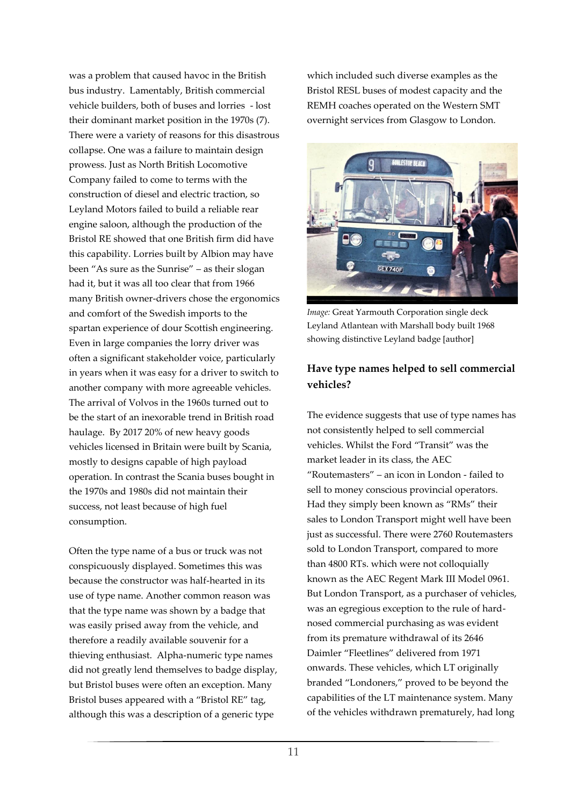was a problem that caused havoc in the British bus industry. Lamentably, British commercial vehicle builders, both of buses and lorries - lost their dominant market position in the 1970s (7). There were a variety of reasons for this disastrous collapse. One was a failure to maintain design prowess. Just as North British Locomotive Company failed to come to terms with the construction of diesel and electric traction, so Leyland Motors failed to build a reliable rear engine saloon, although the production of the Bristol RE showed that one British firm did have this capability. Lorries built by Albion may have been "As sure as the Sunrise" – as their slogan had it, but it was all too clear that from 1966 many British owner-drivers chose the ergonomics and comfort of the Swedish imports to the spartan experience of dour Scottish engineering. Even in large companies the lorry driver was often a significant stakeholder voice, particularly in years when it was easy for a driver to switch to another company with more agreeable vehicles. The arrival of Volvos in the 1960s turned out to be the start of an inexorable trend in British road haulage. By 2017 20% of new heavy goods vehicles licensed in Britain were built by Scania, mostly to designs capable of high payload operation. In contrast the Scania buses bought in the 1970s and 1980s did not maintain their success, not least because of high fuel consumption.

Often the type name of a bus or truck was not conspicuously displayed. Sometimes this was because the constructor was half-hearted in its use of type name. Another common reason was that the type name was shown by a badge that was easily prised away from the vehicle, and therefore a readily available souvenir for a thieving enthusiast. Alpha-numeric type names did not greatly lend themselves to badge display, but Bristol buses were often an exception. Many Bristol buses appeared with a "Bristol RE" tag, although this was a description of a generic type

which included such diverse examples as the Bristol RESL buses of modest capacity and the REMH coaches operated on the Western SMT overnight services from Glasgow to London.



*Image:* Great Yarmouth Corporation single deck Leyland Atlantean with Marshall body built 1968 showing distinctive Leyland badge [author]

# **Have type names helped to sell commercial vehicles?**

The evidence suggests that use of type names has not consistently helped to sell commercial vehicles. Whilst the Ford "Transit" was the market leader in its class, the AEC "Routemasters" – an icon in London - failed to sell to money conscious provincial operators. Had they simply been known as "RMs" their sales to London Transport might well have been just as successful. There were 2760 Routemasters sold to London Transport, compared to more than 4800 RTs. which were not colloquially known as the AEC Regent Mark III Model 0961. But London Transport, as a purchaser of vehicles, was an egregious exception to the rule of hardnosed commercial purchasing as was evident from its premature withdrawal of its 2646 Daimler "Fleetlines" delivered from 1971 onwards. These vehicles, which LT originally branded "Londoners," proved to be beyond the capabilities of the LT maintenance system. Many of the vehicles withdrawn prematurely, had long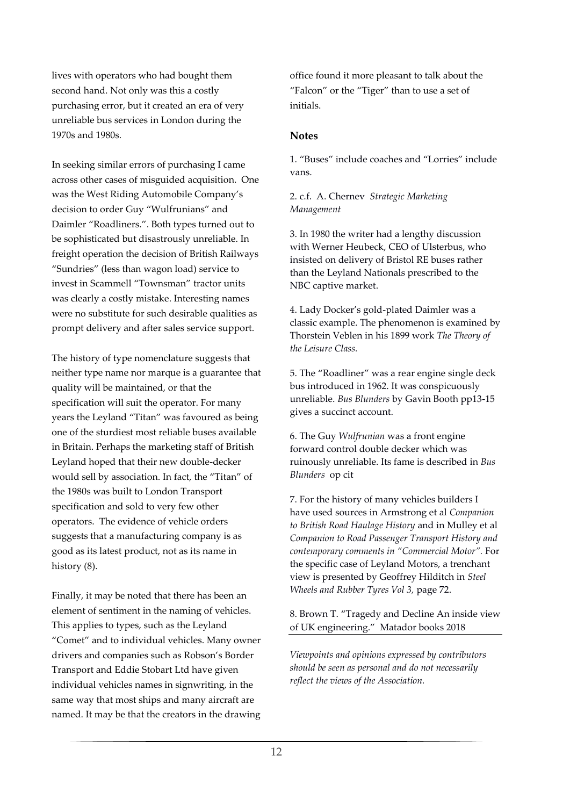lives with operators who had bought them second hand. Not only was this a costly purchasing error, but it created an era of very unreliable bus services in London during the 1970s and 1980s.

In seeking similar errors of purchasing I came across other cases of misguided acquisition. One was the West Riding Automobile Company's decision to order Guy "Wulfrunians" and Daimler "Roadliners.". Both types turned out to be sophisticated but disastrously unreliable. In freight operation the decision of British Railways "Sundries" (less than wagon load) service to invest in Scammell "Townsman" tractor units was clearly a costly mistake. Interesting names were no substitute for such desirable qualities as prompt delivery and after sales service support.

The history of type nomenclature suggests that neither type name nor marque is a guarantee that quality will be maintained, or that the specification will suit the operator. For many years the Leyland "Titan" was favoured as being one of the sturdiest most reliable buses available in Britain. Perhaps the marketing staff of British Leyland hoped that their new double-decker would sell by association. In fact, the "Titan" of the 1980s was built to London Transport specification and sold to very few other operators. The evidence of vehicle orders suggests that a manufacturing company is as good as its latest product, not as its name in history  $(8)$ .

Finally, it may be noted that there has been an element of sentiment in the naming of vehicles. This applies to types, such as the Leyland "Comet" and to individual vehicles. Many owner drivers and companies such as Robson's Border Transport and Eddie Stobart Ltd have given individual vehicles names in signwriting, in the same way that most ships and many aircraft are named. It may be that the creators in the drawing office found it more pleasant to talk about the "Falcon" or the "Tiger" than to use a set of initials.

#### **Notes**

1. "Buses" include coaches and "Lorries" include vans.

#### 2. c.f. A. Chernev *Strategic Marketing Management*

3. In 1980 the writer had a lengthy discussion with Werner Heubeck, CEO of Ulsterbus, who insisted on delivery of Bristol RE buses rather than the Leyland Nationals prescribed to the NBC captive market.

4. Lady Docker's gold-plated Daimler was a classic example. The phenomenon is examined by Thorstein Veblen in his 1899 work *The Theory of the Leisure Class.*

5. The "Roadliner" was a rear engine single deck bus introduced in 1962. It was conspicuously unreliable. *Bus Blunders* by Gavin Booth pp13-15 gives a succinct account.

6. The Guy *Wulfrunian* was a front engine forward control double decker which was ruinously unreliable. Its fame is described in *Bus Blunders* op cit

7. For the history of many vehicles builders I have used sources in Armstrong et al *Companion to British Road Haulage History* and in Mulley et al *Companion to Road Passenger Transport History and contemporary comments in "Commercial Motor".* For the specific case of Leyland Motors, a trenchant view is presented by Geoffrey Hilditch in *Steel Wheels and Rubber Tyres Vol 3,* page 72.

#### 8. Brown T. "Tragedy and Decline An inside view of UK engineering." Matador books 2018

*Viewpoints and opinions expressed by contributors should be seen as personal and do not necessarily reflect the views of the Association.*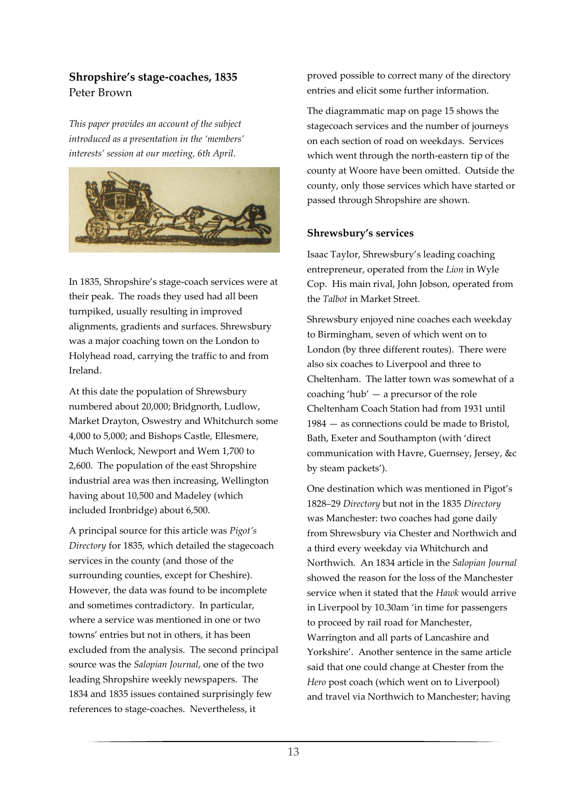# **Shropshire's stage-coaches, 1835** Peter Brown

*This paper provides an account of the subject introduced as a presentation in the 'members' interests' session at our meeting, 6th April.*



In 1835, Shropshire's stage-coach services were at their peak. The roads they used had all been turnpiked, usually resulting in improved alignments, gradients and surfaces. Shrewsbury was a major coaching town on the London to Holyhead road, carrying the traffic to and from Ireland.

At this date the population of Shrewsbury numbered about 20,000; Bridgnorth, Ludlow, Market Drayton, Oswestry and Whitchurch some 4,000 to 5,000; and Bishops Castle, Ellesmere, Much Wenlock, Newport and Wem 1,700 to 2,600. The population of the east Shropshire industrial area was then increasing, Wellington having about 10,500 and Madeley (which included Ironbridge) about 6,500.

A principal source for this article was *Pigot's Directory* for 1835, which detailed the stagecoach services in the county (and those of the surrounding counties, except for Cheshire). However, the data was found to be incomplete and sometimes contradictory. In particular, where a service was mentioned in one or two towns' entries but not in others, it has been excluded from the analysis. The second principal source was the *Salopian Journal*, one of the two leading Shropshire weekly newspapers. The 1834 and 1835 issues contained surprisingly few references to stage-coaches. Nevertheless, it

proved possible to correct many of the directory entries and elicit some further information.

The diagrammatic map on page 15 shows the stagecoach services and the number of journeys on each section of road on weekdays. Services which went through the north-eastern tip of the county at Woore have been omitted. Outside the county, only those services which have started or passed through Shropshire are shown.

#### **Shrewsbury's services**

Isaac Taylor, Shrewsbury's leading coaching entrepreneur, operated from the *Lion* in Wyle Cop. His main rival, John Jobson, operated from the *Talbot* in Market Street.

Shrewsbury enjoyed nine coaches each weekday to Birmingham, seven of which went on to London (by three different routes). There were also six coaches to Liverpool and three to Cheltenham. The latter town was somewhat of a coaching 'hub' — a precursor of the role Cheltenham Coach Station had from 1931 until 1984 — as connections could be made to Bristol, Bath, Exeter and Southampton (with 'direct communication with Havre, Guernsey, Jersey, &c by steam packets').

One destination which was mentioned in Pigot's 1828–29 *Directory* but not in the 1835 *Directory* was Manchester: two coaches had gone daily from Shrewsbury via Chester and Northwich and a third every weekday via Whitchurch and Northwich. An 1834 article in the *Salopian Journal*  showed the reason for the loss of the Manchester service when it stated that the *Hawk* would arrive in Liverpool by 10.30am 'in time for passengers to proceed by rail road for Manchester, Warrington and all parts of Lancashire and Yorkshire'. Another sentence in the same article said that one could change at Chester from the *Hero* post coach (which went on to Liverpool) and travel via Northwich to Manchester; having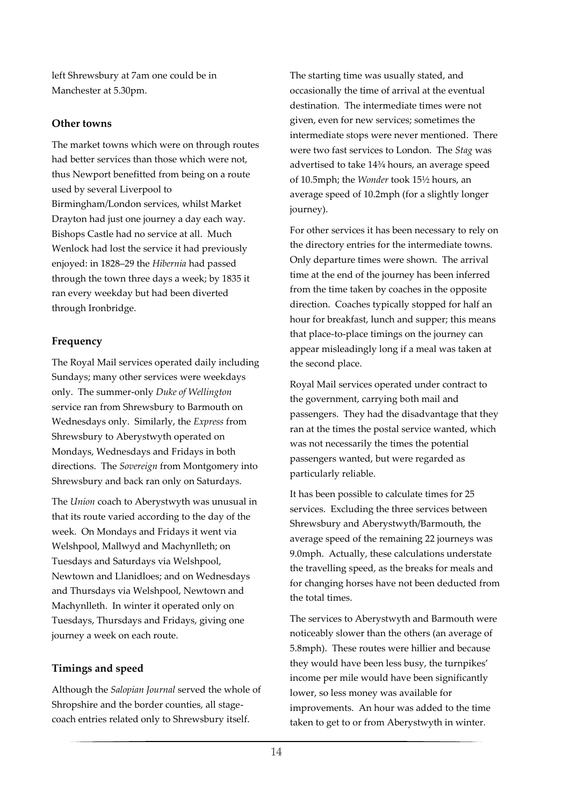left Shrewsbury at 7am one could be in Manchester at 5.30pm.

# **Other towns**

The market towns which were on through routes had better services than those which were not, thus Newport benefitted from being on a route used by several Liverpool to Birmingham/London services, whilst Market Drayton had just one journey a day each way. Bishops Castle had no service at all. Much Wenlock had lost the service it had previously enjoyed: in 1828–29 the *Hibernia* had passed through the town three days a week; by 1835 it ran every weekday but had been diverted through Ironbridge.

# **Frequency**

The Royal Mail services operated daily including Sundays; many other services were weekdays only. The summer-only *Duke of Wellington* service ran from Shrewsbury to Barmouth on Wednesdays only. Similarly, the *Express* from Shrewsbury to Aberystwyth operated on Mondays, Wednesdays and Fridays in both directions. The *Sovereign* from Montgomery into Shrewsbury and back ran only on Saturdays.

The *Union* coach to Aberystwyth was unusual in that its route varied according to the day of the week. On Mondays and Fridays it went via Welshpool, Mallwyd and Machynlleth; on Tuesdays and Saturdays via Welshpool, Newtown and Llanidloes; and on Wednesdays and Thursdays via Welshpool, Newtown and Machynlleth. In winter it operated only on Tuesdays, Thursdays and Fridays, giving one journey a week on each route.

# **Timings and speed**

Although the *Salopian Journal* served the whole of Shropshire and the border counties, all stagecoach entries related only to Shrewsbury itself.

The starting time was usually stated, and occasionally the time of arrival at the eventual destination. The intermediate times were not given, even for new services; sometimes the intermediate stops were never mentioned. There were two fast services to London. The *Stag* was advertised to take 14¾ hours, an average speed of 10.5mph; the *Wonder* took 15½ hours, an average speed of 10.2mph (for a slightly longer journey).

For other services it has been necessary to rely on the directory entries for the intermediate towns. Only departure times were shown. The arrival time at the end of the journey has been inferred from the time taken by coaches in the opposite direction. Coaches typically stopped for half an hour for breakfast, lunch and supper; this means that place-to-place timings on the journey can appear misleadingly long if a meal was taken at the second place.

Royal Mail services operated under contract to the government, carrying both mail and passengers. They had the disadvantage that they ran at the times the postal service wanted, which was not necessarily the times the potential passengers wanted, but were regarded as particularly reliable.

It has been possible to calculate times for 25 services. Excluding the three services between Shrewsbury and Aberystwyth/Barmouth, the average speed of the remaining 22 journeys was 9.0mph. Actually, these calculations understate the travelling speed, as the breaks for meals and for changing horses have not been deducted from the total times.

The services to Aberystwyth and Barmouth were noticeably slower than the others (an average of 5.8mph). These routes were hillier and because they would have been less busy, the turnpikes' income per mile would have been significantly lower, so less money was available for improvements. An hour was added to the time taken to get to or from Aberystwyth in winter.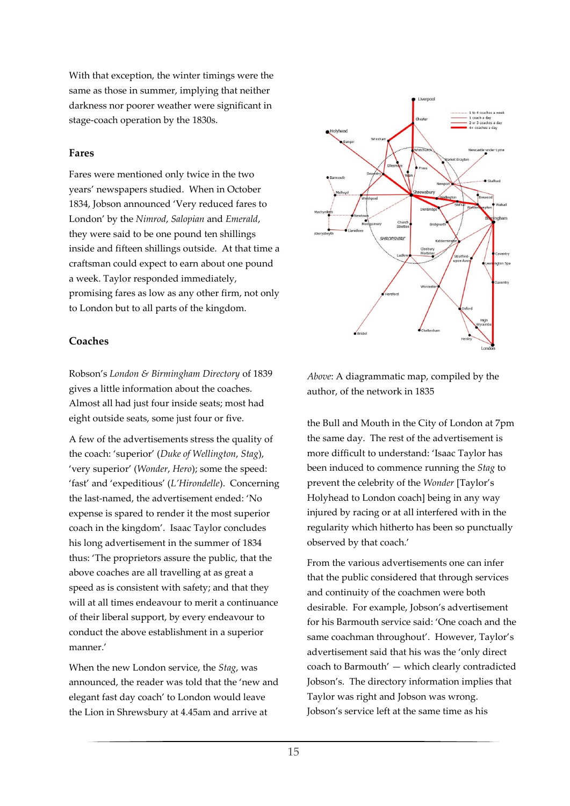With that exception, the winter timings were the same as those in summer, implying that neither darkness nor poorer weather were significant in stage-coach operation by the 1830s.

#### **Fares**

Fares were mentioned only twice in the two years' newspapers studied. When in October 1834, Jobson announced 'Very reduced fares to London' by the *Nimrod*, *Salopian* and *Emerald*, they were said to be one pound ten shillings inside and fifteen shillings outside. At that time a craftsman could expect to earn about one pound a week. Taylor responded immediately, promising fares as low as any other firm, not only to London but to all parts of the kingdom.



#### **Coaches**

Robson's *London & Birmingham Directory* of 1839 gives a little information about the coaches. Almost all had just four inside seats; most had eight outside seats, some just four or five.

A few of the advertisements stress the quality of the coach: 'superior' (*Duke of Wellington*, *Stag*), 'very superior' (*Wonder*, *Hero*); some the speed: 'fast' and 'expeditious' (*L'Hirondelle*). Concerning the last-named, the advertisement ended: 'No expense is spared to render it the most superior coach in the kingdom'. Isaac Taylor concludes his long advertisement in the summer of 1834 thus: 'The proprietors assure the public, that the above coaches are all travelling at as great a speed as is consistent with safety; and that they will at all times endeavour to merit a continuance of their liberal support, by every endeavour to conduct the above establishment in a superior manner.'

When the new London service, the *Stag*, was announced, the reader was told that the 'new and elegant fast day coach' to London would leave the Lion in Shrewsbury at 4.45am and arrive at

*Above*: A diagrammatic map, compiled by the author, of the network in 1835

the Bull and Mouth in the City of London at 7pm the same day. The rest of the advertisement is more difficult to understand: 'Isaac Taylor has been induced to commence running the *Stag* to prevent the celebrity of the *Wonder* [Taylor's Holyhead to London coach] being in any way injured by racing or at all interfered with in the regularity which hitherto has been so punctually observed by that coach.'

From the various advertisements one can infer that the public considered that through services and continuity of the coachmen were both desirable. For example, Jobson's advertisement for his Barmouth service said: 'One coach and the same coachman throughout'. However, Taylor's advertisement said that his was the 'only direct coach to Barmouth' — which clearly contradicted Jobson's. The directory information implies that Taylor was right and Jobson was wrong. Jobson's service left at the same time as his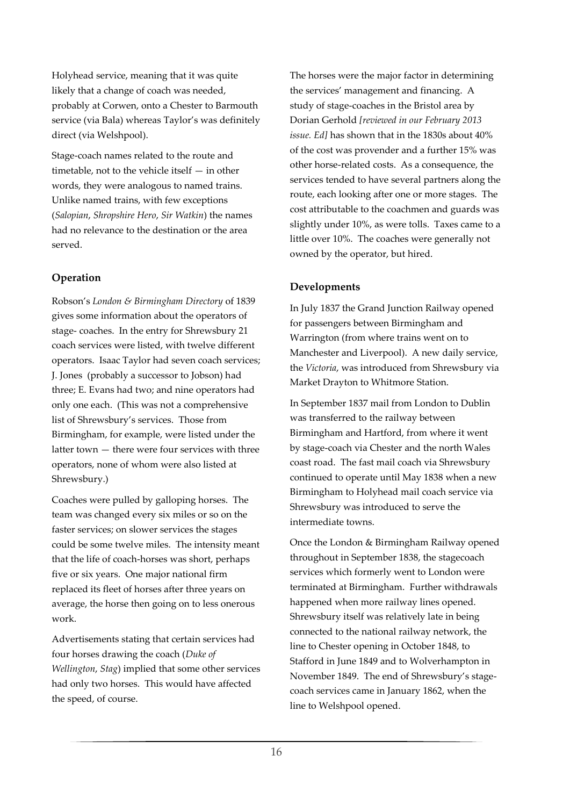Holyhead service, meaning that it was quite likely that a change of coach was needed, probably at Corwen, onto a Chester to Barmouth service (via Bala) whereas Taylor's was definitely direct (via Welshpool).

Stage-coach names related to the route and timetable, not to the vehicle itself — in other words, they were analogous to named trains. Unlike named trains, with few exceptions (*Salopian*, *Shropshire Hero*, *Sir Watkin*) the names had no relevance to the destination or the area served.

# **Operation**

Robson's *London & Birmingham Directory* of 1839 gives some information about the operators of stage- coaches. In the entry for Shrewsbury 21 coach services were listed, with twelve different operators. Isaac Taylor had seven coach services; J. Jones (probably a successor to Jobson) had three; E. Evans had two; and nine operators had only one each. (This was not a comprehensive list of Shrewsbury's services. Those from Birmingham, for example, were listed under the latter town — there were four services with three operators, none of whom were also listed at Shrewsbury.)

Coaches were pulled by galloping horses. The team was changed every six miles or so on the faster services; on slower services the stages could be some twelve miles. The intensity meant that the life of coach-horses was short, perhaps five or six years. One major national firm replaced its fleet of horses after three years on average, the horse then going on to less onerous work.

Advertisements stating that certain services had four horses drawing the coach (*Duke of Wellington*, *Stag*) implied that some other services had only two horses. This would have affected the speed, of course.

The horses were the major factor in determining the services' management and financing. A study of stage-coaches in the Bristol area by Dorian Gerhold *[reviewed in our February 2013 issue. Ed]* has shown that in the 1830s about 40% of the cost was provender and a further 15% was other horse-related costs. As a consequence, the services tended to have several partners along the route, each looking after one or more stages. The cost attributable to the coachmen and guards was slightly under 10%, as were tolls. Taxes came to a little over 10%. The coaches were generally not owned by the operator, but hired.

# **Developments**

In July 1837 the Grand Junction Railway opened for passengers between Birmingham and Warrington (from where trains went on to Manchester and Liverpool). A new daily service, the *Victoria*, was introduced from Shrewsbury via Market Drayton to Whitmore Station.

In September 1837 mail from London to Dublin was transferred to the railway between Birmingham and Hartford, from where it went by stage-coach via Chester and the north Wales coast road. The fast mail coach via Shrewsbury continued to operate until May 1838 when a new Birmingham to Holyhead mail coach service via Shrewsbury was introduced to serve the intermediate towns.

Once the London & Birmingham Railway opened throughout in September 1838, the stagecoach services which formerly went to London were terminated at Birmingham. Further withdrawals happened when more railway lines opened. Shrewsbury itself was relatively late in being connected to the national railway network, the line to Chester opening in October 1848, to Stafford in June 1849 and to Wolverhampton in November 1849. The end of Shrewsbury's stagecoach services came in January 1862, when the line to Welshpool opened.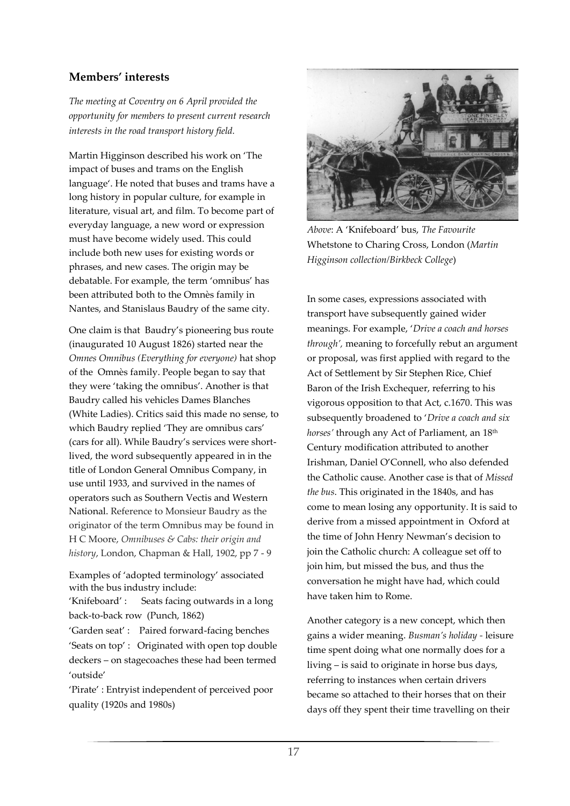# **Members' interests**

*The meeting at Coventry on 6 April provided the opportunity for members to present current research interests in the road transport history field.*

Martin Higginson described his work on 'The impact of buses and trams on the English language'. He noted that buses and trams have a long history in popular culture, for example in literature, visual art, and film. To become part of everyday language, a new word or expression must have become widely used. This could include both new uses for existing words or phrases, and new cases. The origin may be debatable. For example, the term 'omnibus' has been attributed both to the Omnès family in Nantes, and Stanislaus Baudry of the same city.

One claim is that Baudry's pioneering bus route (inaugurated 10 August 1826) started near the *Omnes Omnibus (Everything for everyone)* hat shop of the Omnès family. People began to say that they were 'taking the omnibus'. Another is that Baudry called his vehicles Dames Blanches (White Ladies). Critics said this made no sense, to which Baudry replied 'They are omnibus cars' (cars for all). While Baudry's services were shortlived, the word subsequently appeared in in the title of London General Omnibus Company, in use until 1933, and survived in the names of operators such as Southern Vectis and Western National. Reference to Monsieur Baudry as the originator of the term Omnibus may be found in H C Moore, *Omnibuses & Cabs: their origin and history*, London, Chapman & Hall, 1902, pp 7 - 9

Examples of 'adopted terminology' associated with the bus industry include:

'Knifeboard' : Seats facing outwards in a long back-to-back row (Punch, 1862)

'Garden seat' : Paired forward-facing benches 'Seats on top' : Originated with open top double deckers – on stagecoaches these had been termed 'outside'

'Pirate' : Entryist independent of perceived poor quality (1920s and 1980s)



*Above*: A 'Knifeboard' bus, *The Favourite*  Whetstone to Charing Cross, London (*Martin Higginson collection/Birkbeck College*)

In some cases, expressions associated with transport have subsequently gained wider meanings. For example, '*Drive a coach and horses through',* meaning to forcefully rebut an argument or proposal, was first applied with regard to the Act of Settlement by Sir Stephen Rice, Chief Baron of the Irish Exchequer, referring to his vigorous opposition to that Act, c.1670. This was subsequently broadened to '*Drive a coach and six horses'* through any Act of Parliament, an 18th Century modification attributed to another Irishman, Daniel O'Connell, who also defended the Catholic cause. Another case is that of *Missed the bus*. This originated in the 1840s, and has come to mean losing any opportunity. It is said to derive from a missed appointment in Oxford at the time of John Henry Newman's decision to join the Catholic church: A colleague set off to join him, but missed the bus, and thus the conversation he might have had, which could have taken him to Rome.

Another category is a new concept, which then gains a wider meaning. *Busman's holiday -* leisure time spent doing what one normally does for a living – is said to originate in horse bus days, referring to instances when certain drivers became so attached to their horses that on their days off they spent their time travelling on their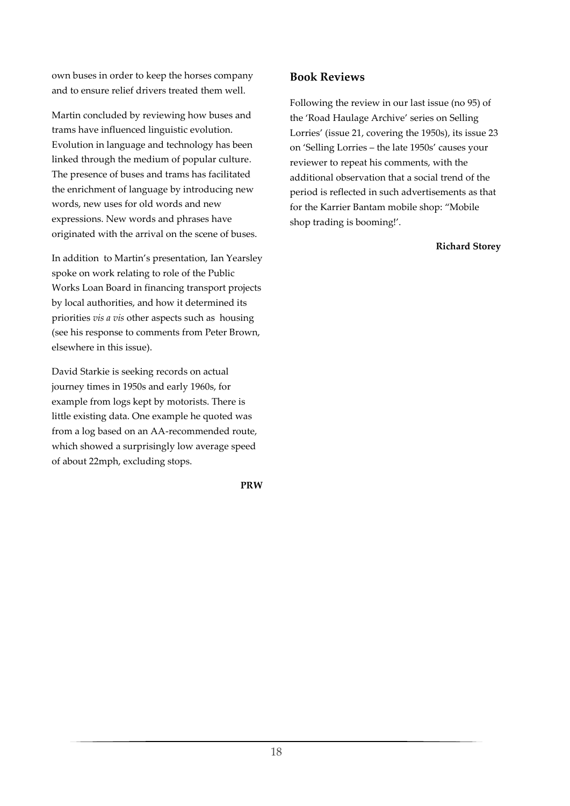own buses in order to keep the horses company and to ensure relief drivers treated them well.

Martin concluded by reviewing how buses and trams have influenced linguistic evolution. Evolution in language and technology has been linked through the medium of popular culture. The presence of buses and trams has facilitated the enrichment of language by introducing new words, new uses for old words and new expressions. New words and phrases have originated with the arrival on the scene of buses.

In addition to Martin's presentation, Ian Yearsley spoke on work relating to role of the Public Works Loan Board in financing transport projects by local authorities, and how it determined its priorities *vis a vis* other aspects such as housing (see his response to comments from Peter Brown, elsewhere in this issue).

David Starkie is seeking records on actual journey times in 1950s and early 1960s, for example from logs kept by motorists. There is little existing data. One example he quoted was from a log based on an AA-recommended route, which showed a surprisingly low average speed of about 22mph, excluding stops.

**PRW**

# **Book Reviews**

Following the review in our last issue (no 95) of the 'Road Haulage Archive' series on Selling Lorries' (issue 21, covering the 1950s), its issue 23 on 'Selling Lorries – the late 1950s' causes your reviewer to repeat his comments, with the additional observation that a social trend of the period is reflected in such advertisements as that for the Karrier Bantam mobile shop: "Mobile shop trading is booming!'.

**Richard Storey**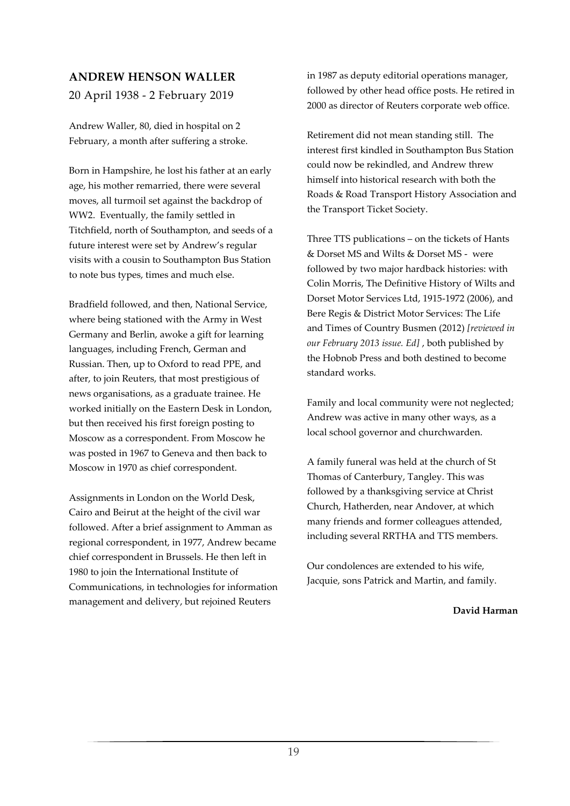# **ANDREW HENSON WALLER**

20 April 1938 - 2 February 2019

Andrew Waller, 80, died in hospital on 2 February, a month after suffering a stroke.

Born in Hampshire, he lost his father at an early age, his mother remarried, there were several moves, all turmoil set against the backdrop of WW2. Eventually, the family settled in Titchfield, north of Southampton, and seeds of a future interest were set by Andrew's regular visits with a cousin to Southampton Bus Station to note bus types, times and much else.

Bradfield followed, and then, National Service, where being stationed with the Army in West Germany and Berlin, awoke a gift for learning languages, including French, German and Russian. Then, up to Oxford to read PPE, and after, to join Reuters, that most prestigious of news organisations, as a graduate trainee. He worked initially on the Eastern Desk in London, but then received his first foreign posting to Moscow as a correspondent. From Moscow he was posted in 1967 to Geneva and then back to Moscow in 1970 as chief correspondent.

Assignments in London on the World Desk, Cairo and Beirut at the height of the civil war followed. After a brief assignment to Amman as regional correspondent, in 1977, Andrew became chief correspondent in Brussels. He then left in 1980 to join the International Institute of Communications, in technologies for information management and delivery, but rejoined Reuters

in 1987 as deputy editorial operations manager, followed by other head office posts. He retired in 2000 as director of Reuters corporate web office.

Retirement did not mean standing still. The interest first kindled in Southampton Bus Station could now be rekindled, and Andrew threw himself into historical research with both the Roads & Road Transport History Association and the Transport Ticket Society.

Three TTS publications – on the tickets of Hants & Dorset MS and Wilts & Dorset MS - were followed by two major hardback histories: with Colin Morris, The Definitive History of Wilts and Dorset Motor Services Ltd, 1915-1972 (2006), and Bere Regis & District Motor Services: The Life and Times of Country Busmen (2012) *[reviewed in our February 2013 issue. Ed]* , both published by the Hobnob Press and both destined to become standard works.

Family and local community were not neglected; Andrew was active in many other ways, as a local school governor and churchwarden.

A family funeral was held at the church of St Thomas of Canterbury, Tangley. This was followed by a thanksgiving service at Christ Church, Hatherden, near Andover, at which many friends and former colleagues attended, including several RRTHA and TTS members.

Our condolences are extended to his wife, Jacquie, sons Patrick and Martin, and family.

**David Harman**